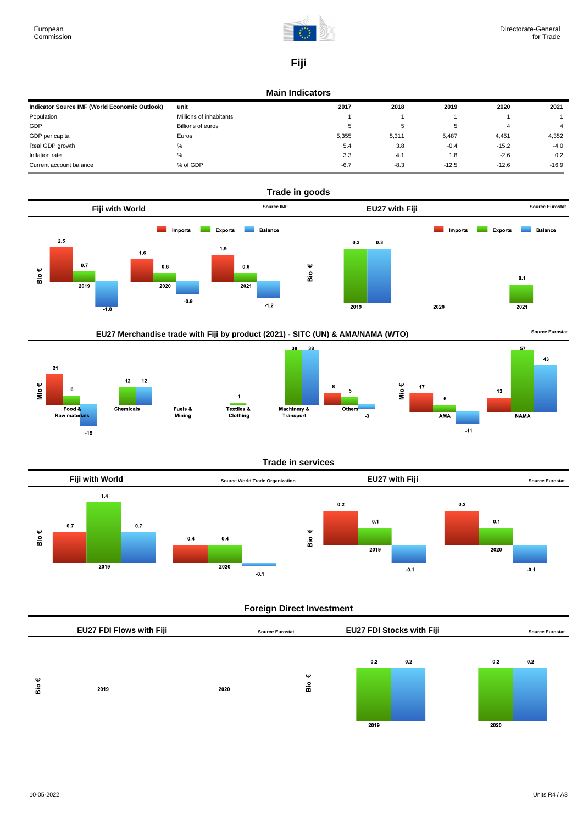

# **Fiji**

#### **Main Indicators**

| Indicator Source IMF (World Economic Outlook) | unit                     | 2017   | 2018   | 2019    | 2020    | 2021    |
|-----------------------------------------------|--------------------------|--------|--------|---------|---------|---------|
| Population                                    | Millions of inhabitants  |        |        |         |         |         |
| GDP                                           | <b>Billions of euros</b> | c      | 5      |         |         |         |
| GDP per capita                                | Euros                    | 5,355  | 5,311  | 5,487   | 4,451   | 4,352   |
| Real GDP growth                               | %                        | 5.4    | 3.8    | $-0.4$  | $-15.2$ | $-4.0$  |
| Inflation rate                                | %                        | 3.3    | 4.1    | 1.8     | $-2.6$  | 0.2     |
| Current account balance                       | % of GDP                 | $-6.7$ | $-8.3$ | $-12.5$ | $-12.6$ | $-16.9$ |













 $-11$ 





## **Foreign Direct Investment**

|        | EU27 FDI Flows with Fiji |      | <b>Source Eurostat</b> |             | <b>EU27 FDI Stocks with Fiji</b> |             | <b>Source Eurostat</b> |  |
|--------|--------------------------|------|------------------------|-------------|----------------------------------|-------------|------------------------|--|
| ₩<br>å | 2019                     | 2020 | Ψ<br>Вiо               | 0.2<br>2019 | 0.2                              | 0.2<br>2020 | 0.2                    |  |